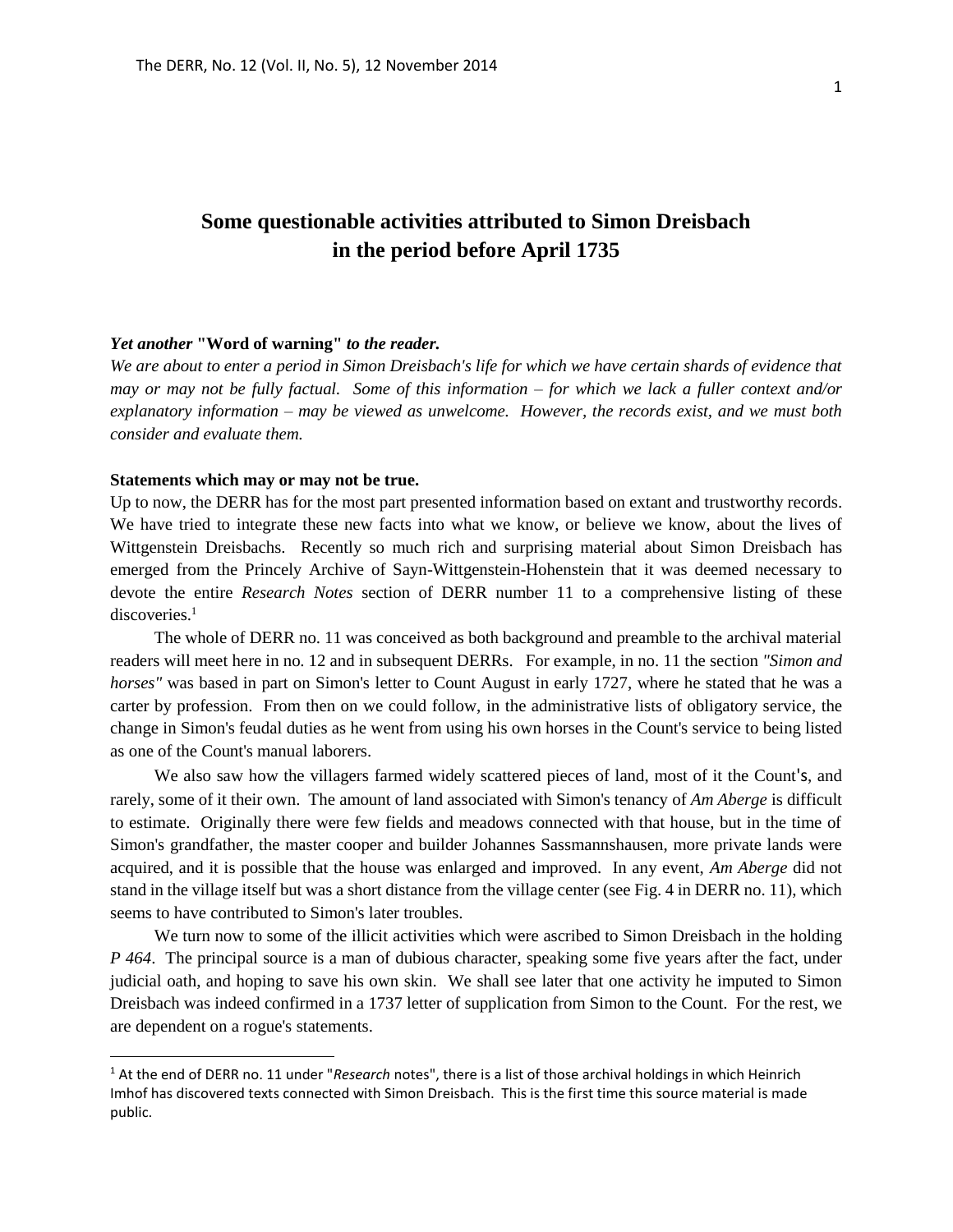# **Some questionable activities attributed to Simon Dreisbach in the period before April 1735**

## *Yet another* **"Word of warning"** *to the reader.*

*We are about to enter a period in Simon Dreisbach's life for which we have certain shards of evidence that may or may not be fully factual. Some of this information – for which we lack a fuller context and/or explanatory information – may be viewed as unwelcome. However, the records exist, and we must both consider and evaluate them.*

### **Statements which may or may not be true.**

 $\overline{a}$ 

Up to now, the DERR has for the most part presented information based on extant and trustworthy records. We have tried to integrate these new facts into what we know, or believe we know, about the lives of Wittgenstein Dreisbachs. Recently so much rich and surprising material about Simon Dreisbach has emerged from the Princely Archive of Sayn-Wittgenstein-Hohenstein that it was deemed necessary to devote the entire *Research Notes* section of DERR number 11 to a comprehensive listing of these discoveries.<sup>1</sup>

The whole of DERR no. 11 was conceived as both background and preamble to the archival material readers will meet here in no. 12 and in subsequent DERRs. For example, in no. 11 the section *"Simon and horses"* was based in part on Simon's letter to Count August in early 1727, where he stated that he was a carter by profession. From then on we could follow, in the administrative lists of obligatory service, the change in Simon's feudal duties as he went from using his own horses in the Count's service to being listed as one of the Count's manual laborers.

We also saw how the villagers farmed widely scattered pieces of land, most of it the Count's, and rarely, some of it their own. The amount of land associated with Simon's tenancy of *Am Aberge* is difficult to estimate. Originally there were few fields and meadows connected with that house, but in the time of Simon's grandfather, the master cooper and builder Johannes Sassmannshausen, more private lands were acquired, and it is possible that the house was enlarged and improved. In any event, *Am Aberge* did not stand in the village itself but was a short distance from the village center (see Fig. 4 in DERR no. 11), which seems to have contributed to Simon's later troubles.

We turn now to some of the illicit activities which were ascribed to Simon Dreisbach in the holding *P 464*. The principal source is a man of dubious character, speaking some five years after the fact, under judicial oath, and hoping to save his own skin. We shall see later that one activity he imputed to Simon Dreisbach was indeed confirmed in a 1737 letter of supplication from Simon to the Count. For the rest, we are dependent on a rogue's statements.

<sup>1</sup> At the end of DERR no. 11 under "*Research* notes", there is a list of those archival holdings in which Heinrich Imhof has discovered texts connected with Simon Dreisbach. This is the first time this source material is made public.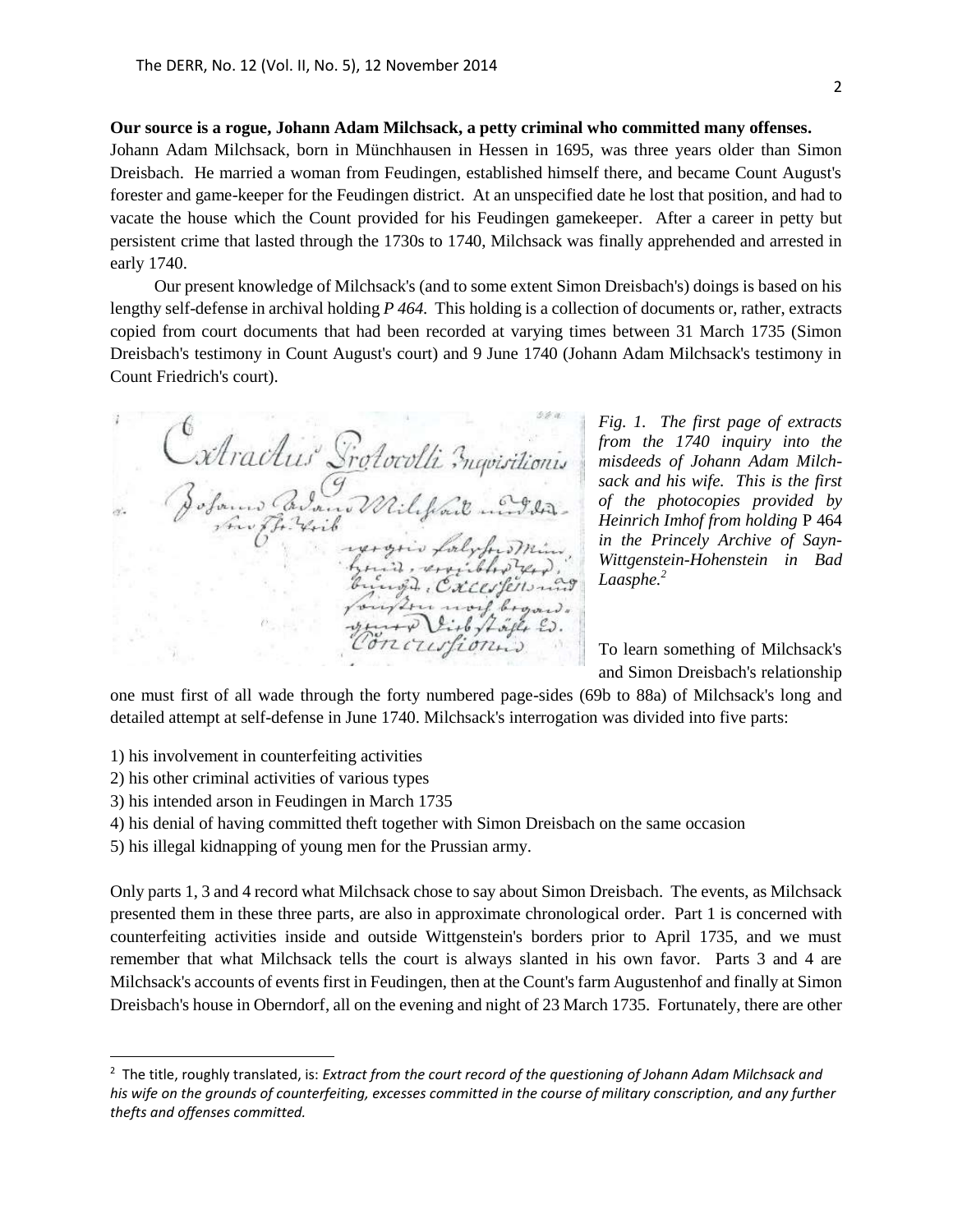**Our source is a rogue, Johann Adam Milchsack, a petty criminal who committed many offenses.** Johann Adam Milchsack, born in Münchhausen in Hessen in 1695, was three years older than Simon Dreisbach. He married a woman from Feudingen, established himself there, and became Count August's forester and game-keeper for the Feudingen district. At an unspecified date he lost that position, and had to vacate the house which the Count provided for his Feudingen gamekeeper. After a career in petty but persistent crime that lasted through the 1730s to 1740, Milchsack was finally apprehended and arrested in early 1740.

Our present knowledge of Milchsack's (and to some extent Simon Dreisbach's) doings is based on his lengthy self-defense in archival holding *P 464.* This holding is a collection of documents or, rather, extracts copied from court documents that had been recorded at varying times between 31 March 1735 (Simon Dreisbach's testimony in Count August's court) and 9 June 1740 (Johann Adam Milchsack's testimony in Count Friedrich's court).

Catractus Srotocolli Inquisitionis in, expirative gis, Caccofersu Are work brown .  $2i + b \sqrt{2\pi\beta} \mathcal{L}_f$ nourion

*Fig. 1. The first page of extracts from the 1740 inquiry into the misdeeds of Johann Adam Milchsack and his wife. This is the first of the photocopies provided by Heinrich Imhof from holding* P 464 *in the Princely Archive of Sayn-Wittgenstein-Hohenstein in Bad Laasphe.<sup>2</sup>*

To learn something of Milchsack's and Simon Dreisbach's relationship

one must first of all wade through the forty numbered page-sides (69b to 88a) of Milchsack's long and detailed attempt at self-defense in June 1740. Milchsack's interrogation was divided into five parts:

- 1) his involvement in counterfeiting activities
- 2) his other criminal activities of various types

 $\overline{a}$ 

- 3) his intended arson in Feudingen in March 1735
- 4) his denial of having committed theft together with Simon Dreisbach on the same occasion

5) his illegal kidnapping of young men for the Prussian army.

Only parts 1, 3 and 4 record what Milchsack chose to say about Simon Dreisbach. The events, as Milchsack presented them in these three parts, are also in approximate chronological order. Part 1 is concerned with counterfeiting activities inside and outside Wittgenstein's borders prior to April 1735, and we must remember that what Milchsack tells the court is always slanted in his own favor. Parts 3 and 4 are Milchsack's accounts of events first in Feudingen, then at the Count's farm Augustenhof and finally at Simon Dreisbach's house in Oberndorf, all on the evening and night of 23 March 1735. Fortunately, there are other

<sup>2</sup> The title, roughly translated, is: *Extract from the court record of the questioning of Johann Adam Milchsack and his wife on the grounds of counterfeiting, excesses committed in the course of military conscription, and any further thefts and offenses committed.*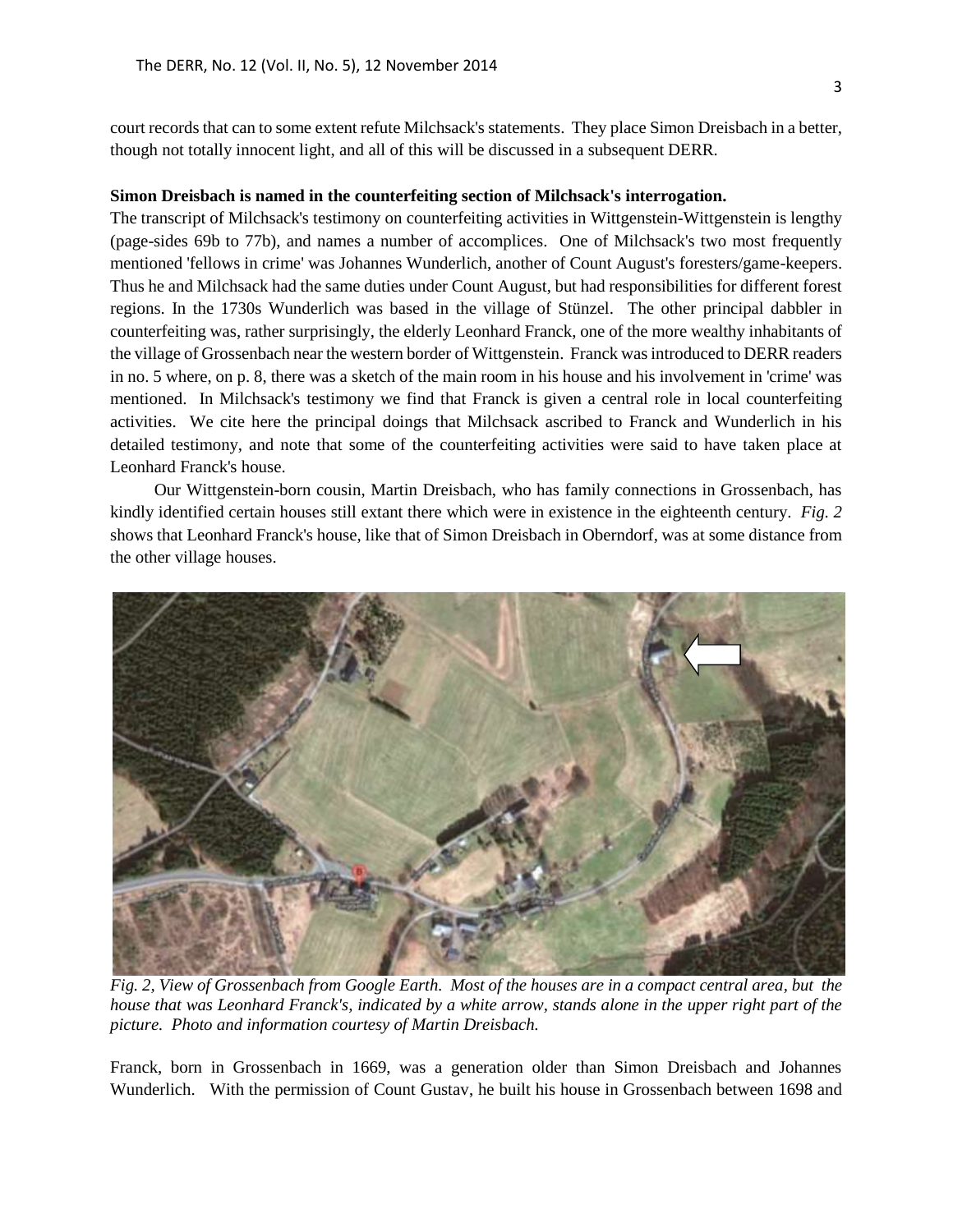court records that can to some extent refute Milchsack's statements. They place Simon Dreisbach in a better, though not totally innocent light, and all of this will be discussed in a subsequent DERR.

## **Simon Dreisbach is named in the counterfeiting section of Milchsack's interrogation.**

The transcript of Milchsack's testimony on counterfeiting activities in Wittgenstein-Wittgenstein is lengthy (page-sides 69b to 77b), and names a number of accomplices. One of Milchsack's two most frequently mentioned 'fellows in crime' was Johannes Wunderlich, another of Count August's foresters/game-keepers. Thus he and Milchsack had the same duties under Count August, but had responsibilities for different forest regions. In the 1730s Wunderlich was based in the village of Stünzel. The other principal dabbler in counterfeiting was, rather surprisingly, the elderly Leonhard Franck, one of the more wealthy inhabitants of the village of Grossenbach near the western border of Wittgenstein. Franck was introduced to DERR readers in no. 5 where, on p. 8, there was a sketch of the main room in his house and his involvement in 'crime' was mentioned. In Milchsack's testimony we find that Franck is given a central role in local counterfeiting activities. We cite here the principal doings that Milchsack ascribed to Franck and Wunderlich in his detailed testimony, and note that some of the counterfeiting activities were said to have taken place at Leonhard Franck's house.

Our Wittgenstein-born cousin, Martin Dreisbach, who has family connections in Grossenbach, has kindly identified certain houses still extant there which were in existence in the eighteenth century. *Fig. 2* shows that Leonhard Franck's house, like that of Simon Dreisbach in Oberndorf, was at some distance from the other village houses.



*Fig. 2, View of Grossenbach from Google Earth. Most of the houses are in a compact central area, but the house that was Leonhard Franck's, indicated by a white arrow, stands alone in the upper right part of the picture. Photo and information courtesy of Martin Dreisbach.* 

Franck, born in Grossenbach in 1669, was a generation older than Simon Dreisbach and Johannes Wunderlich. With the permission of Count Gustav, he built his house in Grossenbach between 1698 and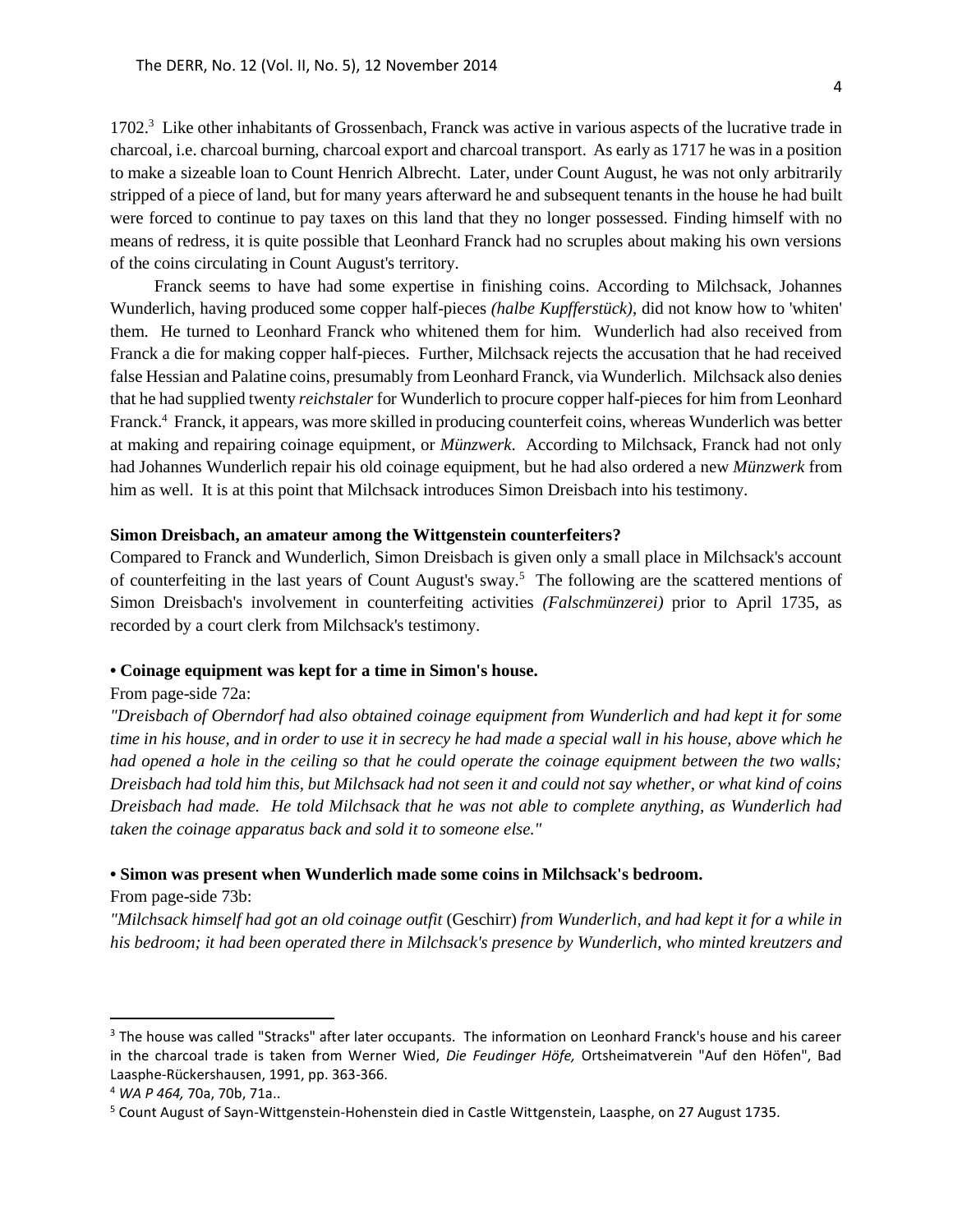1702.<sup>3</sup> Like other inhabitants of Grossenbach, Franck was active in various aspects of the lucrative trade in charcoal, i.e. charcoal burning, charcoal export and charcoal transport. As early as 1717 he was in a position to make a sizeable loan to Count Henrich Albrecht. Later, under Count August, he was not only arbitrarily stripped of a piece of land, but for many years afterward he and subsequent tenants in the house he had built were forced to continue to pay taxes on this land that they no longer possessed. Finding himself with no means of redress, it is quite possible that Leonhard Franck had no scruples about making his own versions of the coins circulating in Count August's territory.

Franck seems to have had some expertise in finishing coins. According to Milchsack, Johannes Wunderlich, having produced some copper half-pieces *(halbe Kupfferstück)*, did not know how to 'whiten' them. He turned to Leonhard Franck who whitened them for him. Wunderlich had also received from Franck a die for making copper half-pieces. Further, Milchsack rejects the accusation that he had received false Hessian and Palatine coins, presumably from Leonhard Franck, via Wunderlich. Milchsack also denies that he had supplied twenty *reichstaler* for Wunderlich to procure copper half-pieces for him from Leonhard Franck.<sup>4</sup> Franck, it appears, was more skilled in producing counterfeit coins, whereas Wunderlich was better at making and repairing coinage equipment, or *Münzwerk*. According to Milchsack, Franck had not only had Johannes Wunderlich repair his old coinage equipment, but he had also ordered a new *Münzwerk* from him as well. It is at this point that Milchsack introduces Simon Dreisbach into his testimony.

#### **Simon Dreisbach, an amateur among the Wittgenstein counterfeiters?**

Compared to Franck and Wunderlich, Simon Dreisbach is given only a small place in Milchsack's account of counterfeiting in the last years of Count August's sway. 5 The following are the scattered mentions of Simon Dreisbach's involvement in counterfeiting activities *(Falschmünzerei)* prior to April 1735, as recorded by a court clerk from Milchsack's testimony.

#### **• Coinage equipment was kept for a time in Simon's house.**

#### From page-side 72a:

*"Dreisbach of Oberndorf had also obtained coinage equipment from Wunderlich and had kept it for some time in his house, and in order to use it in secrecy he had made a special wall in his house, above which he had opened a hole in the ceiling so that he could operate the coinage equipment between the two walls; Dreisbach had told him this, but Milchsack had not seen it and could not say whether, or what kind of coins Dreisbach had made. He told Milchsack that he was not able to complete anything, as Wunderlich had taken the coinage apparatus back and sold it to someone else."*

#### **• Simon was present when Wunderlich made some coins in Milchsack's bedroom.**

From page-side 73b:

 $\overline{a}$ 

*"Milchsack himself had got an old coinage outfit* (Geschirr) *from Wunderlich, and had kept it for a while in his bedroom; it had been operated there in Milchsack's presence by Wunderlich, who minted kreutzers and* 

<sup>&</sup>lt;sup>3</sup> The house was called "Stracks" after later occupants. The information on Leonhard Franck's house and his career in the charcoal trade is taken from Werner Wied, *Die Feudinger Höfe,* Ortsheimatverein "Auf den Höfen", Bad Laasphe-Rückershausen, 1991, pp. 363-366.

<sup>4</sup> *WA P 464,* 70a, 70b, 71a..

<sup>&</sup>lt;sup>5</sup> Count August of Sayn-Wittgenstein-Hohenstein died in Castle Wittgenstein, Laasphe, on 27 August 1735.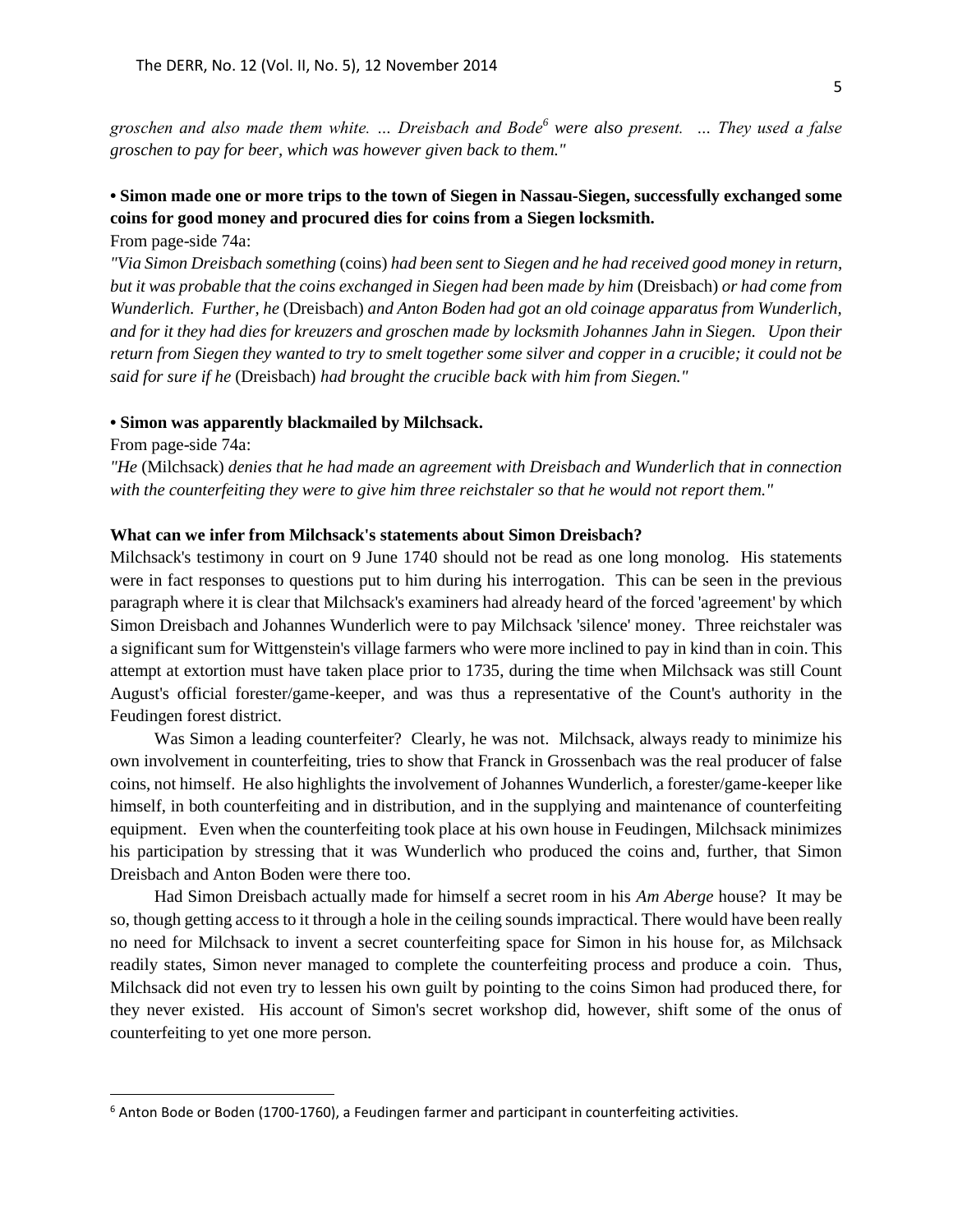*groschen and also made them white. … Dreisbach and Bode<sup>6</sup> were also present. … They used a false groschen to pay for beer, which was however given back to them."*

## **• Simon made one or more trips to the town of Siegen in Nassau-Siegen, successfully exchanged some coins for good money and procured dies for coins from a Siegen locksmith.**

From page-side 74a:

*"Via Simon Dreisbach something* (coins) *had been sent to Siegen and he had received good money in return, but it was probable that the coins exchanged in Siegen had been made by him* (Dreisbach) *or had come from Wunderlich. Further, he* (Dreisbach) *and Anton Boden had got an old coinage apparatus from Wunderlich, and for it they had dies for kreuzers and groschen made by locksmith Johannes Jahn in Siegen. Upon their return from Siegen they wanted to try to smelt together some silver and copper in a crucible; it could not be said for sure if he* (Dreisbach) *had brought the crucible back with him from Siegen."*

#### **• Simon was apparently blackmailed by Milchsack.**

From page-side 74a:

 $\overline{a}$ 

*"He* (Milchsack) *denies that he had made an agreement with Dreisbach and Wunderlich that in connection with the counterfeiting they were to give him three reichstaler so that he would not report them."*

## **What can we infer from Milchsack's statements about Simon Dreisbach?**

Milchsack's testimony in court on 9 June 1740 should not be read as one long monolog. His statements were in fact responses to questions put to him during his interrogation. This can be seen in the previous paragraph where it is clear that Milchsack's examiners had already heard of the forced 'agreement' by which Simon Dreisbach and Johannes Wunderlich were to pay Milchsack 'silence' money. Three reichstaler was a significant sum for Wittgenstein's village farmers who were more inclined to pay in kind than in coin. This attempt at extortion must have taken place prior to 1735, during the time when Milchsack was still Count August's official forester/game-keeper, and was thus a representative of the Count's authority in the Feudingen forest district.

Was Simon a leading counterfeiter? Clearly, he was not. Milchsack, always ready to minimize his own involvement in counterfeiting, tries to show that Franck in Grossenbach was the real producer of false coins, not himself. He also highlights the involvement of Johannes Wunderlich, a forester/game-keeper like himself, in both counterfeiting and in distribution, and in the supplying and maintenance of counterfeiting equipment. Even when the counterfeiting took place at his own house in Feudingen, Milchsack minimizes his participation by stressing that it was Wunderlich who produced the coins and, further, that Simon Dreisbach and Anton Boden were there too.

Had Simon Dreisbach actually made for himself a secret room in his *Am Aberge* house? It may be so, though getting access to it through a hole in the ceiling sounds impractical. There would have been really no need for Milchsack to invent a secret counterfeiting space for Simon in his house for, as Milchsack readily states, Simon never managed to complete the counterfeiting process and produce a coin. Thus, Milchsack did not even try to lessen his own guilt by pointing to the coins Simon had produced there, for they never existed. His account of Simon's secret workshop did, however, shift some of the onus of counterfeiting to yet one more person.

<sup>&</sup>lt;sup>6</sup> Anton Bode or Boden (1700-1760), a Feudingen farmer and participant in counterfeiting activities.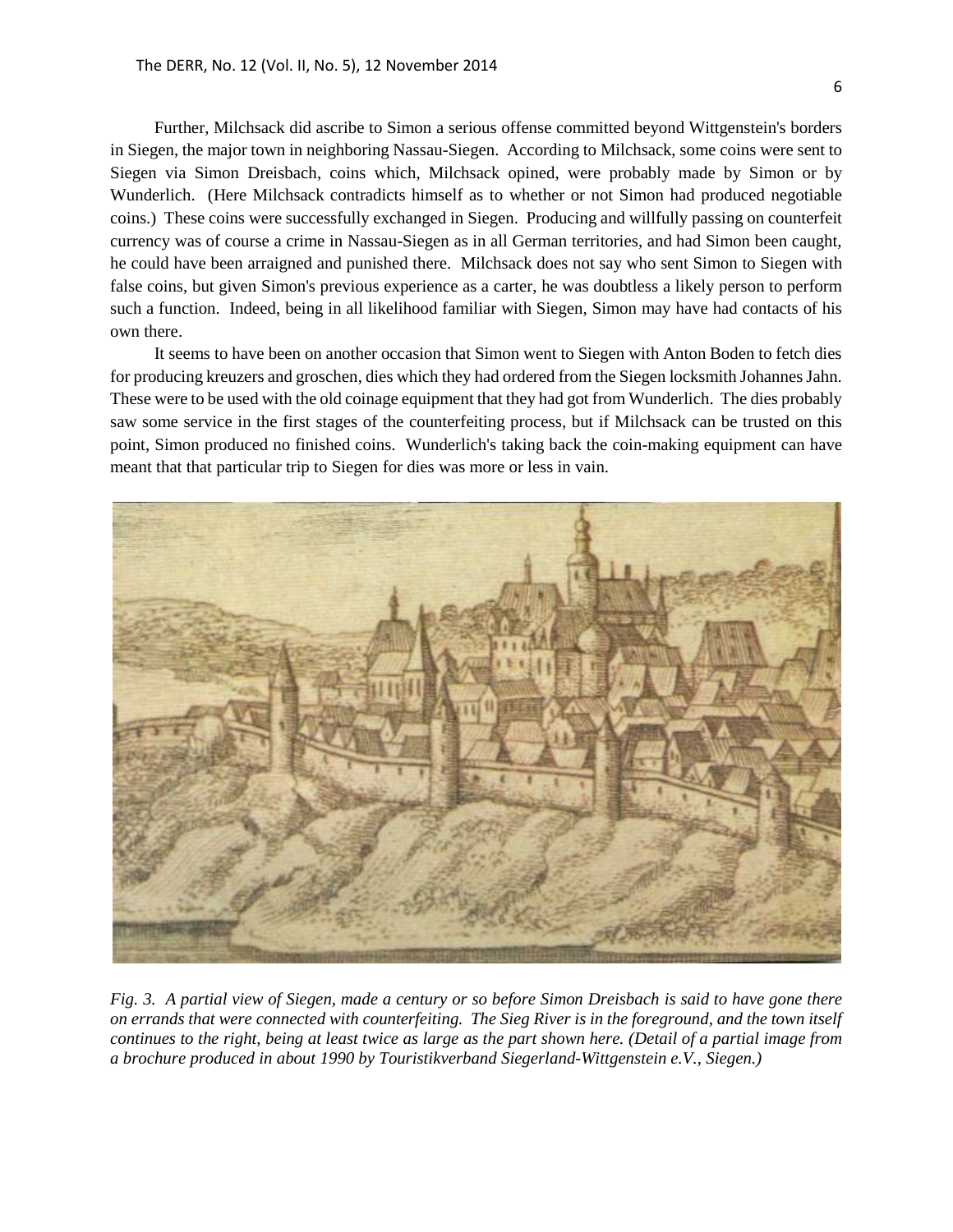Further, Milchsack did ascribe to Simon a serious offense committed beyond Wittgenstein's borders in Siegen, the major town in neighboring Nassau-Siegen. According to Milchsack, some coins were sent to Siegen via Simon Dreisbach, coins which, Milchsack opined, were probably made by Simon or by Wunderlich. (Here Milchsack contradicts himself as to whether or not Simon had produced negotiable coins.) These coins were successfully exchanged in Siegen. Producing and willfully passing on counterfeit currency was of course a crime in Nassau-Siegen as in all German territories, and had Simon been caught, he could have been arraigned and punished there. Milchsack does not say who sent Simon to Siegen with false coins, but given Simon's previous experience as a carter, he was doubtless a likely person to perform such a function. Indeed, being in all likelihood familiar with Siegen, Simon may have had contacts of his own there.

It seems to have been on another occasion that Simon went to Siegen with Anton Boden to fetch dies for producing kreuzers and groschen, dies which they had ordered from the Siegen locksmith Johannes Jahn. These were to be used with the old coinage equipment that they had got from Wunderlich. The dies probably saw some service in the first stages of the counterfeiting process, but if Milchsack can be trusted on this point, Simon produced no finished coins. Wunderlich's taking back the coin-making equipment can have meant that that particular trip to Siegen for dies was more or less in vain.



*Fig. 3. A partial view of Siegen, made a century or so before Simon Dreisbach is said to have gone there on errands that were connected with counterfeiting. The Sieg River is in the foreground, and the town itself continues to the right, being at least twice as large as the part shown here. (Detail of a partial image from a brochure produced in about 1990 by Touristikverband Siegerland-Wittgenstein e.V., Siegen.)*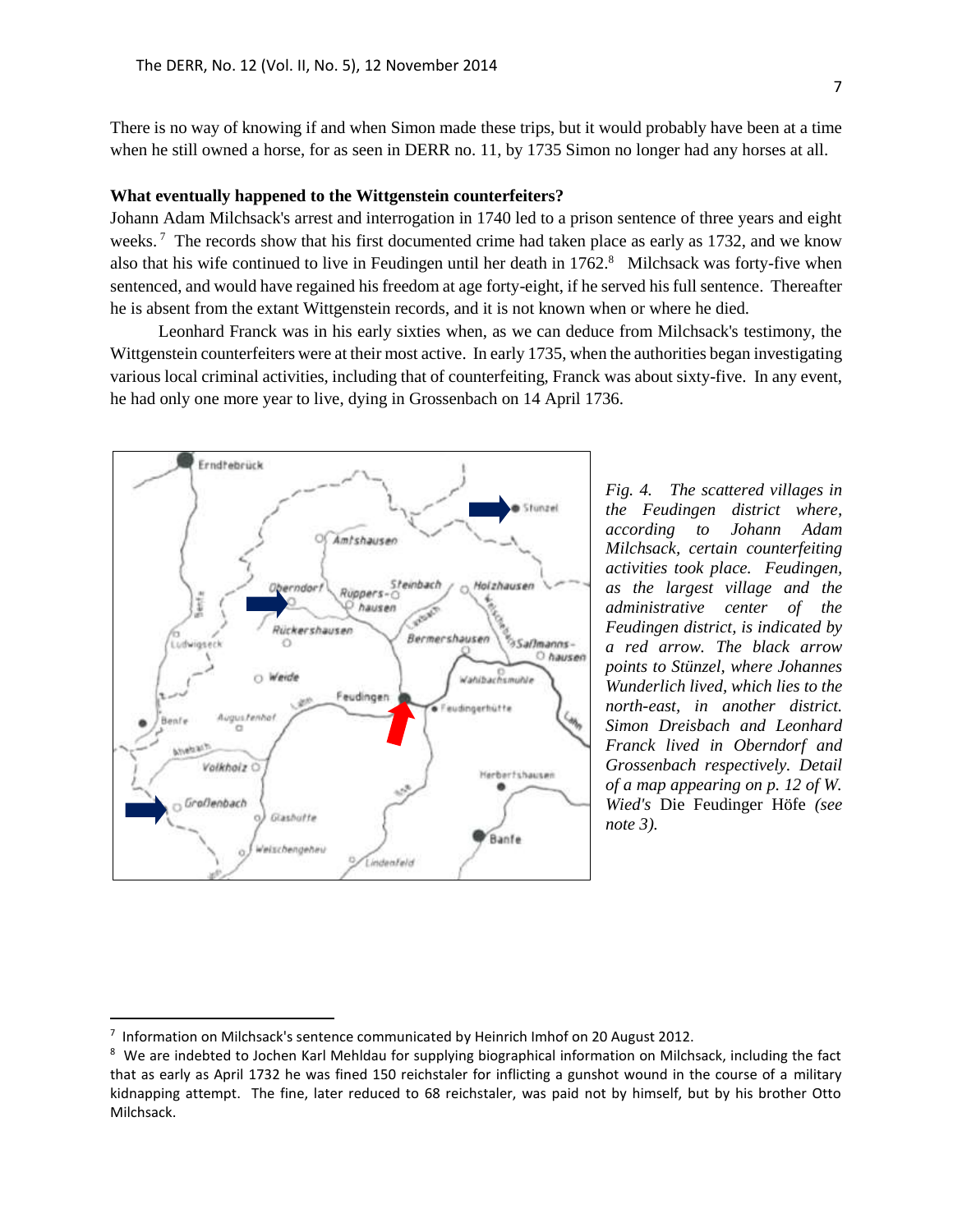There is no way of knowing if and when Simon made these trips, but it would probably have been at a time when he still owned a horse, for as seen in DERR no. 11, by 1735 Simon no longer had any horses at all.

## **What eventually happened to the Wittgenstein counterfeiters?**

Johann Adam Milchsack's arrest and interrogation in 1740 led to a prison sentence of three years and eight weeks.<sup>7</sup> The records show that his first documented crime had taken place as early as 1732, and we know also that his wife continued to live in Feudingen until her death in 1762.<sup>8</sup> Milchsack was forty-five when sentenced, and would have regained his freedom at age forty-eight, if he served his full sentence. Thereafter he is absent from the extant Wittgenstein records, and it is not known when or where he died.

Leonhard Franck was in his early sixties when, as we can deduce from Milchsack's testimony, the Wittgenstein counterfeiters were at their most active. In early 1735, when the authorities began investigating various local criminal activities, including that of counterfeiting, Franck was about sixty-five. In any event, he had only one more year to live, dying in Grossenbach on 14 April 1736.



*Fig. 4. The scattered villages in the Feudingen district where, according to Johann Adam Milchsack, certain counterfeiting activities took place. Feudingen, as the largest village and the administrative center of the Feudingen district, is indicated by a red arrow. The black arrow points to Stünzel, where Johannes Wunderlich lived, which lies to the north-east, in another district. Simon Dreisbach and Leonhard Franck lived in Oberndorf and Grossenbach respectively. Detail of a map appearing on p. 12 of W. Wied's* Die Feudinger Höfe *(see note 3).* 

 $\overline{a}$ 

<sup>&</sup>lt;sup>7</sup> Information on Milchsack's sentence communicated by Heinrich Imhof on 20 August 2012.

 $8\,$  We are indebted to Jochen Karl Mehldau for supplying biographical information on Milchsack, including the fact that as early as April 1732 he was fined 150 reichstaler for inflicting a gunshot wound in the course of a military kidnapping attempt. The fine, later reduced to 68 reichstaler, was paid not by himself, but by his brother Otto Milchsack.